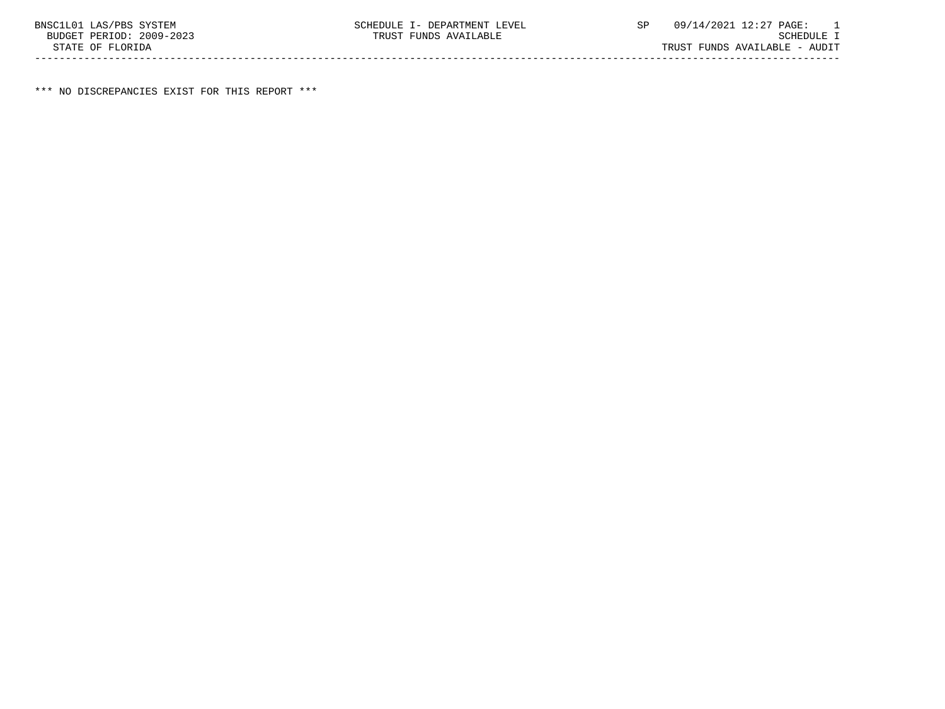\*\*\* NO DISCREPANCIES EXIST FOR THIS REPORT \*\*\*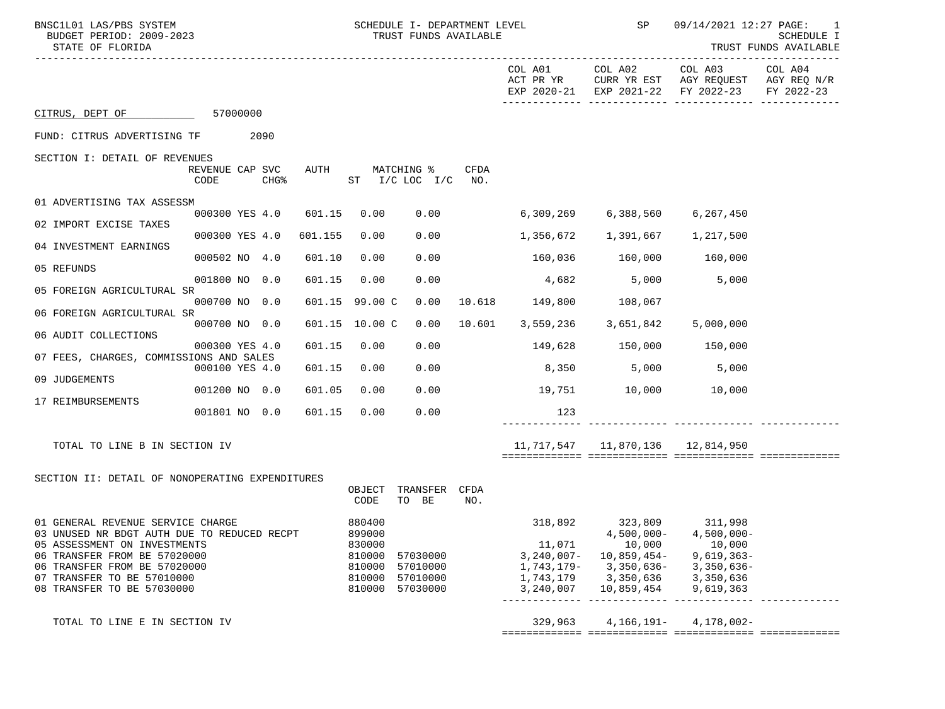| BNSC1L01 LAS/PBS SYSTEM<br>BUDGET PERIOD: 2009-2023<br>STATE OF FLORIDA                                                                                                                                                                      |                                             |         | SCHEDULE I- DEPARTMENT LEVEL<br>TRUST FUNDS AVAILABLE              |                                              |                    | <b>SP</b>                                                                 | 09/14/2021 12:27 PAGE: 1<br>SCHEDULE I<br>TRUST FUNDS AVAILABLE |                                                                                                               |            |
|----------------------------------------------------------------------------------------------------------------------------------------------------------------------------------------------------------------------------------------------|---------------------------------------------|---------|--------------------------------------------------------------------|----------------------------------------------|--------------------|---------------------------------------------------------------------------|-----------------------------------------------------------------|---------------------------------------------------------------------------------------------------------------|------------|
|                                                                                                                                                                                                                                              |                                             |         |                                                                    |                                              |                    | COL A01<br>ACT PR YR                                                      | COL A02                                                         | COL A03 COL A04<br>CURR YR EST AGY REQUEST AGY REQ N/R<br>EXP 2020-21 EXP 2021-22 FY 2022-23                  | FY 2022-23 |
| CITRUS, DEPT OF 57000000                                                                                                                                                                                                                     |                                             |         |                                                                    |                                              |                    |                                                                           |                                                                 |                                                                                                               |            |
| FUND: CITRUS ADVERTISING TF 2090                                                                                                                                                                                                             |                                             |         |                                                                    |                                              |                    |                                                                           |                                                                 |                                                                                                               |            |
| SECTION I: DETAIL OF REVENUES                                                                                                                                                                                                                | REVENUE CAP SVC<br>CODE<br>CHG <sup>8</sup> | AUTH    |                                                                    | MATCHING %<br>$ST$ $I/C$ $LOC$ $I/C$         | <b>CFDA</b><br>NO. |                                                                           |                                                                 |                                                                                                               |            |
| 01 ADVERTISING TAX ASSESSM                                                                                                                                                                                                                   | 000300 YES 4.0                              | 601.15  | 0.00                                                               | 0.00                                         |                    |                                                                           | 6,309,269 6,388,560                                             | 6,267,450                                                                                                     |            |
| 02 IMPORT EXCISE TAXES                                                                                                                                                                                                                       |                                             |         |                                                                    |                                              |                    |                                                                           |                                                                 |                                                                                                               |            |
| 04 INVESTMENT EARNINGS                                                                                                                                                                                                                       | 000300 YES 4.0                              | 601.155 | 0.00                                                               | 0.00                                         |                    |                                                                           |                                                                 |                                                                                                               |            |
| 05 REFUNDS                                                                                                                                                                                                                                   | 000502 NO 4.0                               | 601.10  | 0.00                                                               | 0.00                                         |                    |                                                                           | 160,036 160,000 160,000                                         |                                                                                                               |            |
| 05 FOREIGN AGRICULTURAL SR                                                                                                                                                                                                                   | 001800 NO 0.0                               | 601.15  | 0.00                                                               | 0.00                                         |                    | 4,682                                                                     | 5,000                                                           | 5,000                                                                                                         |            |
|                                                                                                                                                                                                                                              | 000700 NO 0.0                               |         | 601.15 99.00 C                                                     | 0.00                                         |                    | 10.618  149,800  108,067                                                  |                                                                 |                                                                                                               |            |
| 06 FOREIGN AGRICULTURAL SR                                                                                                                                                                                                                   | 000700 NO 0.0                               |         | 601.15 10.00 C                                                     | 0.00                                         | 10.601             |                                                                           | 3,559,236 3,651,842                                             | 5,000,000                                                                                                     |            |
| 06 AUDIT COLLECTIONS                                                                                                                                                                                                                         | 000300 YES 4.0                              | 601.15  | 0.00                                                               | 0.00                                         |                    | 149,628 150,000 150,000                                                   |                                                                 |                                                                                                               |            |
| 07 FEES, CHARGES, COMMISSIONS AND SALES                                                                                                                                                                                                      | 000100 YES 4.0                              | 601.15  | 0.00                                                               | 0.00                                         |                    |                                                                           | 8,350 5,000 5,000                                               |                                                                                                               |            |
| 09 JUDGEMENTS                                                                                                                                                                                                                                | 001200 NO 0.0                               | 601.05  | 0.00                                                               | 0.00                                         |                    |                                                                           | 19,751 10,000 10,000                                            |                                                                                                               |            |
| 17 REIMBURSEMENTS                                                                                                                                                                                                                            |                                             |         |                                                                    | 0.00                                         |                    |                                                                           |                                                                 |                                                                                                               |            |
|                                                                                                                                                                                                                                              | 001801 NO 0.0                               | 601.15  | 0.00                                                               |                                              |                    | 123                                                                       |                                                                 |                                                                                                               |            |
| TOTAL TO LINE B IN SECTION IV                                                                                                                                                                                                                |                                             |         |                                                                    |                                              |                    |                                                                           | 11,717,547    11,870,136    12,814,950                          |                                                                                                               |            |
|                                                                                                                                                                                                                                              |                                             |         |                                                                    |                                              |                    |                                                                           |                                                                 |                                                                                                               |            |
| SECTION II: DETAIL OF NONOPERATING EXPENDITURES                                                                                                                                                                                              |                                             |         | OBJECT<br>CODE                                                     | TRANSFER<br>TO BE                            | CFDA<br>NO.        |                                                                           |                                                                 |                                                                                                               |            |
| 01 GENERAL REVENUE SERVICE CHARGE<br>03 UNUSED NR BDGT AUTH DUE TO REDUCED RECPT<br>05 ASSESSMENT ON INVESTMENTS<br>06 TRANSFER FROM BE 57020000<br>06 TRANSFER FROM BE 57020000<br>07 TRANSFER TO BE 57010000<br>08 TRANSFER TO BE 57030000 |                                             |         | 880400<br>899000<br>830000<br>810000<br>810000<br>810000<br>810000 | 57030000<br>57010000<br>57010000<br>57030000 |                    | 318,892<br>11,071<br>$3,240,007-$<br>1,743,179-<br>1,743,179<br>3,240,007 | 10,000<br>10,859,454-<br>3,350,636-<br>3,350,636<br>10,859,454  | 323,809 311,998<br>$4,500,000-4,500,000-$<br>10,000<br>$9,619,363-$<br>$3,350,636-$<br>3,350,636<br>9,619,363 |            |
| TOTAL TO LINE E IN SECTION IV                                                                                                                                                                                                                |                                             |         |                                                                    |                                              |                    | 329,963                                                                   | $4,166,191-$                                                    | 4,178,002-                                                                                                    |            |

============= ============= ============= =============